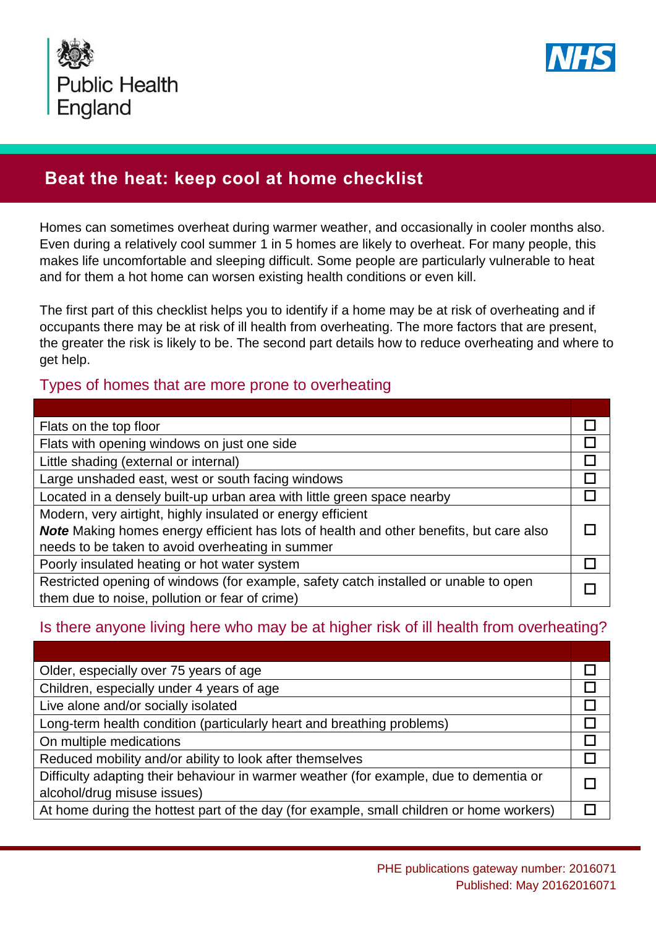



# **Beat the heat: keep cool at home checklist**

Homes can sometimes overheat during warmer weather, and occasionally in cooler months also. Even during a relatively cool summer 1 in 5 homes are likely to overheat. For many people, this makes life uncomfortable and sleeping difficult. Some people are particularly vulnerable to heat and for them a hot home can worsen existing health conditions or even kill.

The first part of this checklist helps you to identify if a home may be at risk of overheating and if occupants there may be at risk of ill health from overheating. The more factors that are present, the greater the risk is likely to be. The second part details how to reduce overheating and where to get help.

#### Types of homes that are more prone to overheating

| Flats on the top floor                                                                         |  |
|------------------------------------------------------------------------------------------------|--|
| Flats with opening windows on just one side                                                    |  |
| Little shading (external or internal)                                                          |  |
| Large unshaded east, west or south facing windows                                              |  |
| Located in a densely built-up urban area with little green space nearby                        |  |
| Modern, very airtight, highly insulated or energy efficient                                    |  |
| <b>Note</b> Making homes energy efficient has lots of health and other benefits, but care also |  |
| needs to be taken to avoid overheating in summer                                               |  |
| Poorly insulated heating or hot water system                                                   |  |
| Restricted opening of windows (for example, safety catch installed or unable to open           |  |
| them due to noise, pollution or fear of crime)                                                 |  |

### Is there anyone living here who may be at higher risk of ill health from overheating?

| Older, especially over 75 years of age                                                   |  |
|------------------------------------------------------------------------------------------|--|
| Children, especially under 4 years of age                                                |  |
| Live alone and/or socially isolated                                                      |  |
| Long-term health condition (particularly heart and breathing problems)                   |  |
| On multiple medications                                                                  |  |
| Reduced mobility and/or ability to look after themselves                                 |  |
| Difficulty adapting their behaviour in warmer weather (for example, due to dementia or   |  |
| alcohol/drug misuse issues)                                                              |  |
| At home during the hottest part of the day (for example, small children or home workers) |  |